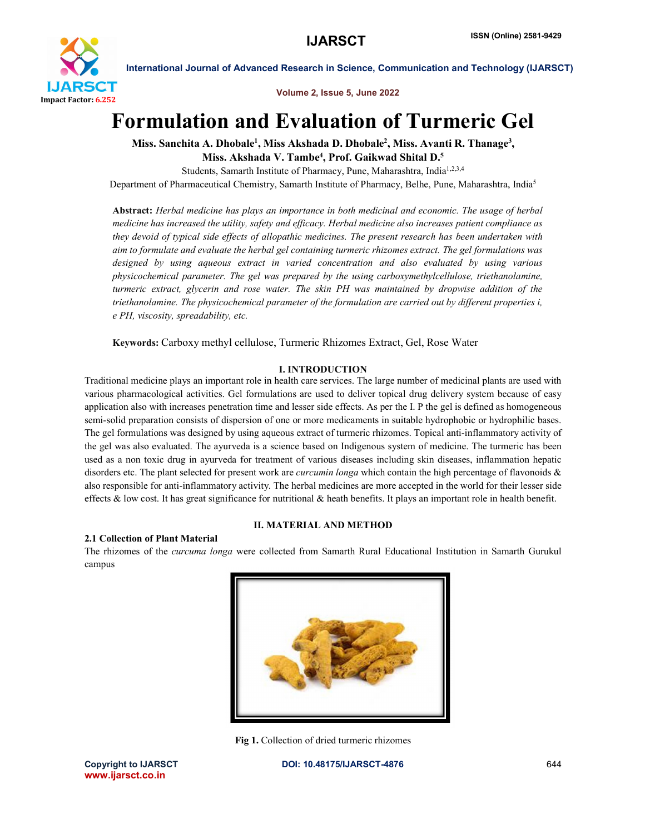

Volume 2, Issue 5, June 2022

# Formulation and Evaluation of Turmeric Gel

Miss. Sanchita A. Dhobale<sup>1</sup>, Miss Akshada D. Dhobale<sup>2</sup>, Miss. Avanti R. Thanage<sup>3</sup>, Miss. Akshada V. Tambe<sup>4</sup>, Prof. Gaikwad Shital D.<sup>5</sup>

Students, Samarth Institute of Pharmacy, Pune, Maharashtra, India<sup>1,2,3,4</sup>

Department of Pharmaceutical Chemistry, Samarth Institute of Pharmacy, Belhe, Pune, Maharashtra, India<sup>5</sup>

Abstract: *Herbal medicine has plays an importance in both medicinal and economic. The usage of herbal medicine has increased the utility, safety and efficacy. Herbal medicine also increases patient compliance as they devoid of typical side effects of allopathic medicines. The present research has been undertaken with aim to formulate and evaluate the herbal gel containing turmeric rhizomes extract. The gel formulations was designed by using aqueous extract in varied concentration and also evaluated by using various physicochemical parameter. The gel was prepared by the using carboxymethylcellulose, triethanolamine, turmeric extract, glycerin and rose water. The skin PH was maintained by dropwise addition of the triethanolamine. The physicochemical parameter of the formulation are carried out by different properties i, e PH, viscosity, spreadability, etc.*

Keywords: Carboxy methyl cellulose, Turmeric Rhizomes Extract, Gel, Rose Water

# I. INTRODUCTION

Traditional medicine plays an important role in health care services. The large number of medicinal plants are used with various pharmacological activities. Gel formulations are used to deliver topical drug delivery system because of easy application also with increases penetration time and lesser side effects. As per the I. P the gel is defined as homogeneous semi-solid preparation consists of dispersion of one or more medicaments in suitable hydrophobic or hydrophilic bases. The gel formulations was designed by using aqueous extract of turmeric rhizomes. Topical anti-inflammatory activity of the gel was also evaluated. The ayurveda is a science based on Indigenous system of medicine. The turmeric has been used as a non toxic drug in ayurveda for treatment of various diseases including skin diseases, inflammation hepatic disorders etc. The plant selected for present work are *curcumin longa* which contain the high percentage of flavonoids & also responsible for anti-inflammatory activity. The herbal medicines are more accepted in the world for their lesser side effects  $\&$  low cost. It has great significance for nutritional  $\&$  heath benefits. It plays an important role in health benefit.

#### 2.1 Collection of Plant Material

The rhizomes of the *curcuma longa* were collected from Samarth Rural Educational Institution in Samarth Gurukul campus

II. MATERIAL AND METHOD



Fig 1. Collection of dried turmeric rhizomes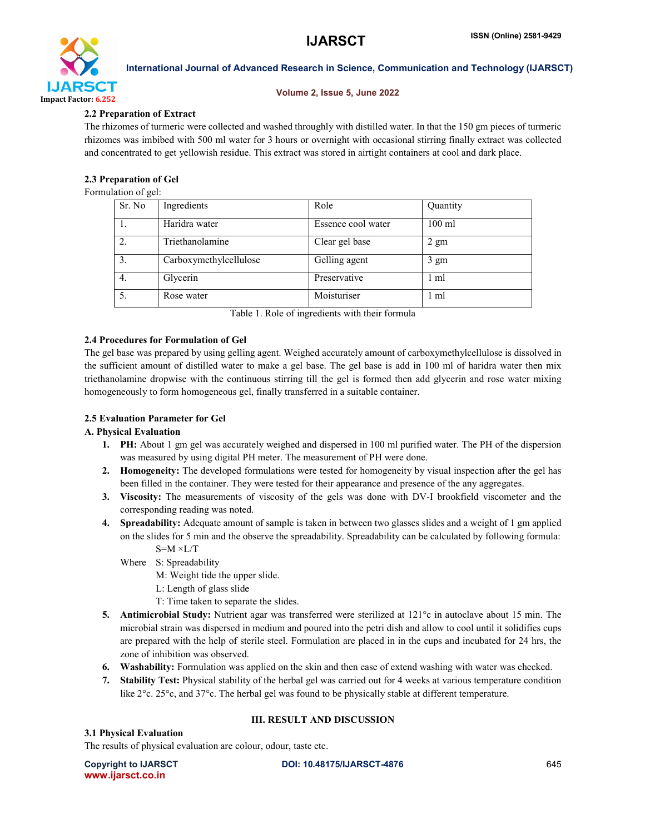

#### Volume 2, Issue 5, June 2022

# 2.2 Preparation of Extract

The rhizomes of turmeric were collected and washed throughly with distilled water. In that the 150 gm pieces of turmeric rhizomes was imbibed with 500 ml water for 3 hours or overnight with occasional stirring finally extract was collected and concentrated to get yellowish residue. This extract was stored in airtight containers at cool and dark place.

# 2.3 Preparation of Gel

Formulation of gel:

| Sr. No | Ingredients            | Role               | Quantity       |
|--------|------------------------|--------------------|----------------|
|        | Haridra water          | Essence cool water | $100$ ml       |
| 2.     | Triethanolamine        | Clear gel base     | $2 \text{ gm}$ |
| 3.     | Carboxymethylcellulose | Gelling agent      | 3 gm           |
| 4.     | Glycerin               | Preservative       | 1 ml           |
| 5.     | Rose water             | Moisturiser        | 1 ml           |

Table 1. Role of ingredients with their formula

# 2.4 Procedures for Formulation of Gel

The gel base was prepared by using gelling agent. Weighed accurately amount of carboxymethylcellulose is dissolved in the sufficient amount of distilled water to make a gel base. The gel base is add in 100 ml of haridra water then mix triethanolamine dropwise with the continuous stirring till the gel is formed then add glycerin and rose water mixing homogeneously to form homogeneous gel, finally transferred in a suitable container.

# 2.5 Evaluation Parameter for Gel

#### A. Physical Evaluation

- 1. PH: About 1 gm gel was accurately weighed and dispersed in 100 ml purified water. The PH of the dispersion was measured by using digital PH meter. The measurement of PH were done.
- 2. Homogeneity: The developed formulations were tested for homogeneity by visual inspection after the gel has been filled in the container. They were tested for their appearance and presence of the any aggregates.
- 3. Viscosity: The measurements of viscosity of the gels was done with DV-I brookfield viscometer and the corresponding reading was noted.
- 4. Spreadability: Adequate amount of sample is taken in between two glasses slides and a weight of 1 gm applied on the slides for 5 min and the observe the spreadability. Spreadability can be calculated by following formula:  $S=M \times L/T$ 
	- Where S: Spreadability
		- M: Weight tide the upper slide.
		- L: Length of glass slide
		- T: Time taken to separate the slides.
- 5. Antimicrobial Study: Nutrient agar was transferred were sterilized at 121°c in autoclave about 15 min. The microbial strain was dispersed in medium and poured into the petri dish and allow to cool until it solidifies cups are prepared with the help of sterile steel. Formulation are placed in in the cups and incubated for 24 hrs, the zone of inhibition was observed.
- 6. Washability: Formulation was applied on the skin and then ease of extend washing with water was checked.
- 7. Stability Test: Physical stability of the herbal gel was carried out for 4 weeks at various temperature condition like 2°c. 25°c, and 37°c. The herbal gel was found to be physically stable at different temperature.

## III. RESULT AND DISCUSSION

#### 3.1 Physical Evaluation

The results of physical evaluation are colour, odour, taste etc.

www.ijarsct.co.in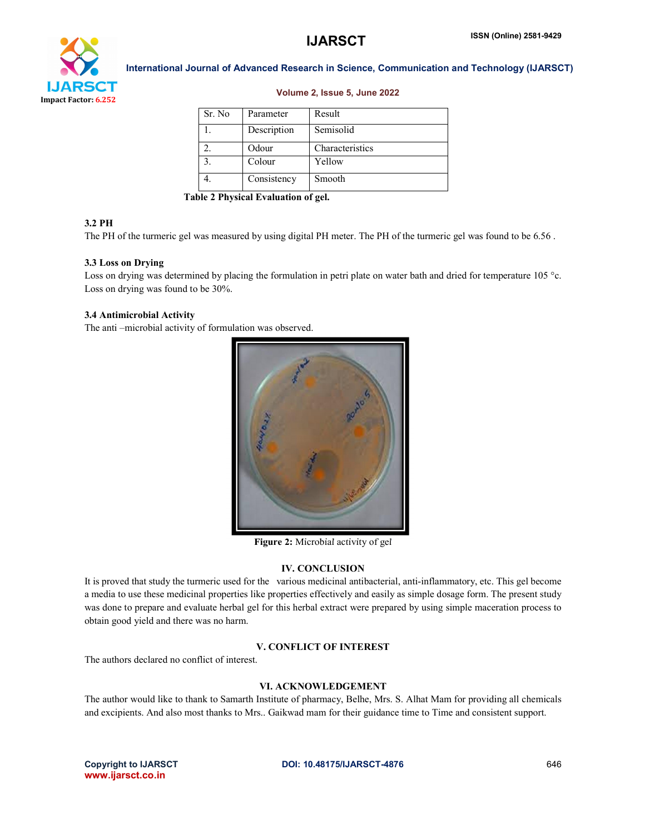

#### Volume 2, Issue 5, June 2022

| Sr. No            | Parameter   | Result          |
|-------------------|-------------|-----------------|
|                   | Description | Semisolid       |
|                   | Odour       | Characteristics |
| $\mathbf{\Omega}$ | Colour      | Yellow          |
|                   | Consistency | Smooth          |

Table 2 Physical Evaluation of gel.

#### 3.2 PH

The PH of the turmeric gel was measured by using digital PH meter. The PH of the turmeric gel was found to be 6.56 .

#### 3.3 Loss on Drying

Loss on drying was determined by placing the formulation in petri plate on water bath and dried for temperature 105 °c. Loss on drying was found to be 30%.

#### 3.4 Antimicrobial Activity

The anti –microbial activity of formulation was observed.



Figure 2: Microbial activity of gel

# IV. CONCLUSION

It is proved that study the turmeric used for the various medicinal antibacterial, anti-inflammatory, etc. This gel become a media to use these medicinal properties like properties effectively and easily as simple dosage form. The present study was done to prepare and evaluate herbal gel for this herbal extract were prepared by using simple maceration process to obtain good yield and there was no harm.

#### V. CONFLICT OF INTEREST

The authors declared no conflict of interest.

#### VI. ACKNOWLEDGEMENT

The author would like to thank to Samarth Institute of pharmacy, Belhe, Mrs. S. Alhat Mam for providing all chemicals and excipients. And also most thanks to Mrs.. Gaikwad mam for their guidance time to Time and consistent support.

www.ijarsct.co.in